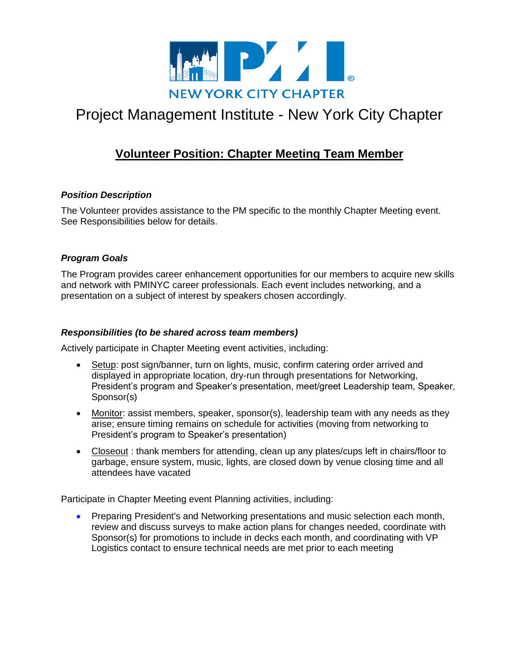

# Project Management Institute - New York City Chapter

# **Volunteer Position: Chapter Meeting Team Member**

# *Position Description*

The Volunteer provides assistance to the PM specific to the monthly Chapter Meeting event. See Responsibilities below for details.

# *Program Goals*

The Program provides career enhancement opportunities for our members to acquire new skills and network with PMINYC career professionals. Each event includes networking, and a presentation on a subject of interest by speakers chosen accordingly.

### *Responsibilities (to be shared across team members)*

Actively participate in Chapter Meeting event activities, including:

- Setup: post sign/banner, turn on lights, music, confirm catering order arrived and displayed in appropriate location, dry-run through presentations for Networking, President's program and Speaker's presentation, meet/greet Leadership team, Speaker, Sponsor(s)
- Monitor: assist members, speaker, sponsor(s), leadership team with any needs as they arise; ensure timing remains on schedule for activities (moving from networking to President's program to Speaker's presentation)
- Closeout : thank members for attending, clean up any plates/cups left in chairs/floor to garbage, ensure system, music, lights, are closed down by venue closing time and all attendees have vacated

Participate in Chapter Meeting event Planning activities, including:

 Preparing President's and Networking presentations and music selection each month, review and discuss surveys to make action plans for changes needed, coordinate with Sponsor(s) for promotions to include in decks each month, and coordinating with VP Logistics contact to ensure technical needs are met prior to each meeting